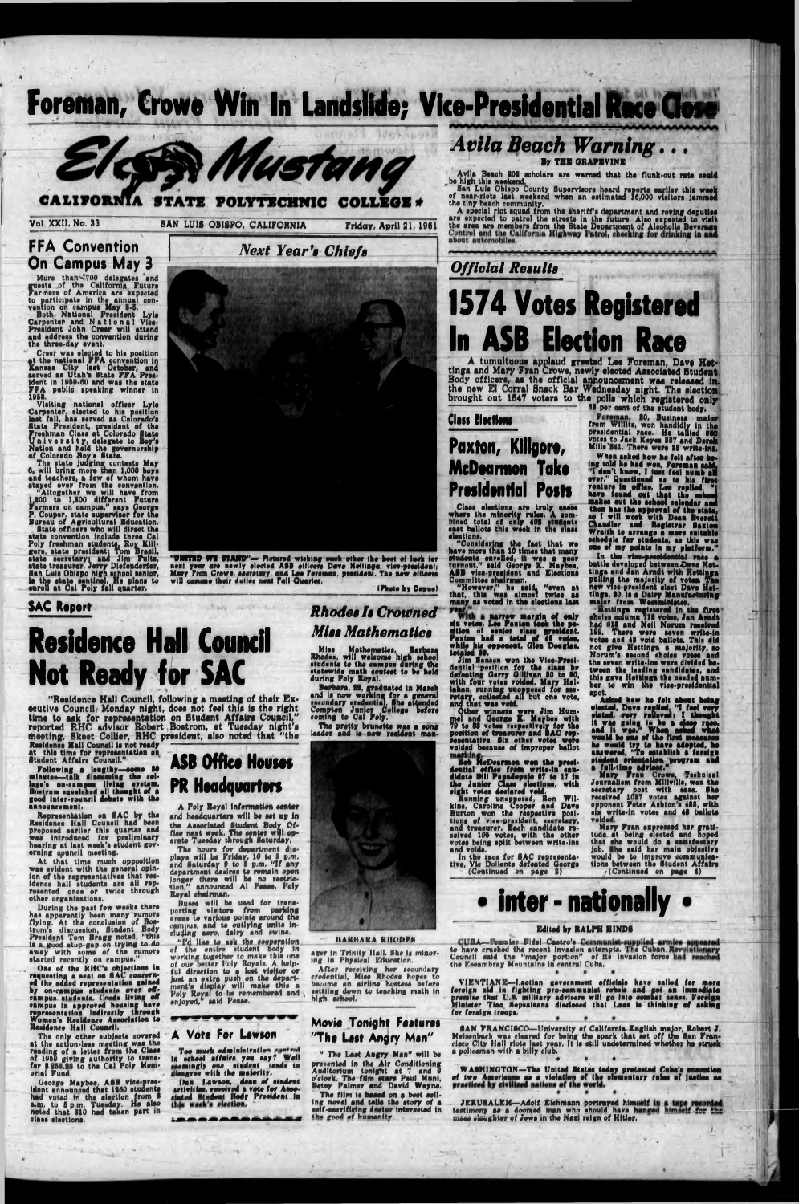#### *Avila Beach Warning. . .* **L By** THB GRAPEVINE

Avila Beach 202 scholars are warned that the flunk-out rate ceuld<br>be high this weekend,

Ban Lula Obispo County Buparvlaora hoard raporta aarliar thla waak of naar-rlota laat woakand whan an aatlmatad 18,000 vlaitora jammad tha tiny beach community.

A special riot squad from the sheriff's department and roving deputies<br>BAN LUIS OBISPO, CALIFORNIA Friday, April 21, 1961<br>Priday, April 21, 1961 the area are members from the State Department of Alcoholic Beverage

A tumultuous applaud greeted Lee Foreman, Dave Het**tings and Mary Fran Crowe, newly elected Associated Student Body officers, as the official announcement was released in\* the new El Corral Snack Bar Wednesday night. The election brought out 1B47 voters to the polls which registered only**

> from Willits, won handidly in the praaldantial raoa. Ha tslllsd 060 votes to Jack Keyes 887 and Derek Mills 841. Thara wara 88 wrlta-ina.

*Official Results* **1574 Votes Registered In ASB Election Race**

> In the vice-presidential race a<br>battle developed between Dave Hettinga and Jan Arndt with Bettings polling tha majority of votaa. **Tha** now vies-president olact Dava Hattinga, 80, la a Dairy Manufacturing malor from Waatmioloter.

as par oant of tha atudant body.

a fall-time advisee."<br>Mary Fran Crowe, Technical Journallam from Mlllvllla, won tha eeeretary ooat with oaae. She

Whan asked how ha fait aftar being told ha had won, Koraman said. I don't know, I just fool numb all ovar." Questioned aa to hla flrot vantura In office, Lao replied. "I hava found out that the ackosj makaa out tha aahool oalandar and than haa tha approval of tho atata, se I will work with Dean Bvaratt<br>Chandler and Registrar Baxton andlar and Raglatrar Saxton Wraith to arrange a mora aultabla aahadula for atudanta, aa thla waa ona of my points In my platform."

**"UNITED WE STAND"— Pictured wishing each other the boot of luck for** next year are newly elected ASS efficers Dave Hettinga, vice-president<sub>i</sub> **Mary Prdn Crowe, aaeretary, and Lae Foreman, preeideni. The new oiliaere will oaeume thatr duller neat Fall Quarter,**

"Considering the fact that we have mora than 10 tlmaa that many etudente enrolled, it was a poor turnout." aaid Gaorga K. Maybea, ASB vlce-praeldent and Elections Committee chairman.

**narrow margin of only<br><b>six votes. Lee Paxton took the po-**<br>gitlen of senior class president. tion of senior class president. axton had a total of 45 votes, while hla opponent, Glen Douglaa,

\_ nattlnga registered in tha firat cholca column 718 votaa, Jan Arndt had (118 and Noll Norum raeaivad 182, Thara wara aavon write-in votaa and 48 void ballota. Thli did not glvo Hottlnga a majority, ao Norum'a aacond ehoica votaa and tha aavan writa-lno wore dlvldad batween the leading sandidates, and thla gave Hottlnga tha naadad numbar to win tha viao-praaidantial apot.

**totaled by.**<br>If **Banaon won the Vice-Presi-**<br>dential position <u>for</u> the class by donating Garry OllHvan 60 to SO, with four votaa voidad. Mary Hallahan, running unoppoeed for soethat waa void.

**33**<br> **3** *y* and that was void.<br>
Other winners were Jim Hum-<br>
and and George K. Mapbes with<br>
79 to 83 veter range and AG resber with the particular for the disc of trees with the set of the set of the set of the set of the set of the s<br>Set of trees with the set of the set of the set of the set of the set of the set of the set of the set of the resentative. Bix other votes were voided because of improper ballot maridne. Six other votaal word votaal word voor votaal word voor votaal word vo

Bob McDearmon wen the presifate Bill Papadepule 67 to 17 in the Junior Class elections, with

Aakad how ha fait about boing •looted, Dave replied, "I fool vary elated, very relieved i I thought It waa going to ba a eleae raaa. and It waa. Whan aakad what would ba ona of the firat maaauraa ha would try to have adopted, ha anawarod, "To aatabllah a foreign atudant orientation program and

Miss Mathematics, Barbara<br>Rhodes, will welcome high school students to the campus during the statewide math contest to be held during Poly Royal.

> received 1037 voter agalnat her opponent Pater Arhton'a 488, with alx write-in votaa and 48 ballota voided,

**'Residence Hall Council, following a meeting of their Ex-•cutivo Council, Monday night, dooi not fool this is tho right tims to ssk for roprssontstlon on Studgnt Affsirs Council," reported RHC advisor Robert Boetrom, st Tuesday night's (heeling. Skeet Collier, RHC president, also noted that "the**

> Mary Pran expreaaed her gratitude at being elected and hoped that she would do a satisfactory job. Hhe aaid her main objective would ba to Improve communications between the Student Affairs /(Continued on page 4)

Residence Hall Council is not ready at thla time for repraaantatlon on Student Affaira Council."

Following a lengthy—some 80 minutes—talk discussing the collaga's on-rampus living system,<br>Bustrom-squeichad all thought of a

good inter-council debate with the announcement.

Representation on SAC by tha Residence Hall Council had been proposed aarliar this quarter and waa Introduced for preliminary hearing at laat week's atudant governing apuncil meeting.

At that time much opposition waa evident with tha general opinion of tha representatives that residence hall atudanta ara all represented once or twice through other organisations.

**Clm Elecftem**

**Paxton, Klllgorv, McDearmon Take Presidential Posts**

Class elections are truly eases<br>where the minority rules. A com-<br>bined total of only 408 rtudents cast ballots this week in the class elections.

During the past few weeks there haa apparently bean many rumors flying. At tha conclusion of Boatrom's discussion, Student Body President Tom Bragg noted, "this ia a.good stop-gup on trying to do away with soma of tha rumors started recently on campus."

**ASB Office Houses PR Headquarters**

"However," ha aaid. "even at that, thla waa almort twice aa many aa voted in tha alaationa laat

ager in Trinity Hall. She is minor-Ing In Physical Education.

> VIENTIANE— Laotian government officials have called for mora foreign old in fighting pro-eommuniot rebels and got on **Immediolo** promise that U.S. military advisers will go Into aombsl nones. Foreign Minister Tlao Mopsaisana disclosed that Laos ia thinking of taking for foreign troops.

One of the RHC's objections in requesting a seal on SAC concern-ed the added representation gained by on-campus students over oframpus students. Coeds living off campus In approved housing hava repraaantatlon Indirectly through Woman's Residence Association to Residence Hall Council.

The only other subjects covered at tha actlon-lesa masting was the reading of a letter from the Class of 1069 giving authority to tranefar \$ 253.28 to the Cal Poly Memorial Fund.

George Maybes, ASB vice-presidont announced that 1860 atuosnte had voted in the election from 6 a.m. to 5 p.m. Tuesday. He also noted that 810 had taken part in elaaa alactlona.

#### **Movie Tonight Foituroi** "The Last Angry Man"

 $-1 - 1$ 

" The Lost Angry Man" will ba presented in the Air Conditioning Auditorium tonight at 7 and 9 o'clock, The film stars Paul Muni, Betsy Palmar and David Wayna, The film is based on a best sell-

ing novel and talls the story of a self-sacrificing doctor interested in<br>the good of humanity.

•AN FRANCISCO—University of California English major, Robert J. Melsenbach waa cleared for being the spark that act off tho San Francisco City Hall riots last year. It is still undetermined whether he struck a policeman with a billy club.  $\bullet$  and  $\bullet$   $\bullet$   $\bullet$   $\bullet$ 

WASHINGTON—The United States today pretested Cuba's execution of (wo Americans as a violation of tha elementary rulaa of jsstiae aa  $\bullet$ 

Too much administration In school affairs you say7 Wall gemlagly one student tends to leagree with the majority.

(Photo by Dapua)

### *Rhodes Is Crowned Miss Mathematics*

Barbara, 88, graduated in Morah and Is now working for a general secondary credential, She attended Compton Junior College before coming to Cal Poly.

More than<sup>2700</sup> delegates and guests of the California Future<br>Farmers of America are expected armor# of America ara expected to participate in the annual convention on campus May 8-6.

> The pretty brunette was a song leader and is now resident man-

# **Residence Hall Council Not Ready for SAC**

A Poly Royal information center and headquarters will be set up in the Associated Student Body Office next waak. Tha center will operate Tuesday through Saturday,

Tha hours for department diaplays will be Friday, 10 to 5 p.m. and Saturday 9 to 6 p.m. "If any department desires to remain open longer there will be no restriction," announced Al Paaae, Poly Royal chairman.

Buses will ba used for transporting vlaitora from parking areas to various points around the rampua, and to outlying units including aero, dairy and awlne,

"I'd like to ssk tha cooperation of the entire student body In working together to make thla one of our better Poly Royals, A helpful direction to a lost visitor or just an extra push on the department's display will make this a Poly Royal to lie remembered end enjoyed/' said Pease,

BA—Premier Fidel ive crushed the race CUBA—Emmier Fidel Castro's Communist supplied armies<br>to have crushed the recent invasion attempts. The Cuban.Rev Council said the "major portion" of its invasion force tha Kseambray Mountains In central Cuba.

After receiving her secondary credential, Miss Rhodes hopes to become an airline hostess before settling down to teaching math in

high achooi.



Daa Lawson, daaa of student activities, raeaivad a vote for Annotated Student Body Praaldant in

<u>La a a a a a a a a a d</u>

#### dight votes declared void.

Running unopposed, Ron Wilkins, Caroline Cooper a irton won the respective positions of viss-president, userstary, and treasurer. Each candidate re-<br>seived 105 votes, with the other votes being split between write-ins and voids.

In the race for SAC representative, Vie ! In the race of Continued on page 2)

JERUSALEM—Adolf Eiehmenn portrayed himt testimony aa a doomed men who should hava h *rr.ua* slaughter of Jaws in tha Nail ralgn of Hltlor.

Foreman, Crowe Win In Landslide; Vice-Presidential Race Close



Vol. XXII, No. 33 **SAN LUIS OBISPO, CALIFORNIA** Friday, April 21, 1961

*Next Year's Chiefs* **FFA Convention On Campus May 3**

Both National President Lyla Carpenter and National Vice-Praaidant John Craar wilt attend and address the convention during tha three-day avant.

Craar waa elected to hla position at tha national FFA oonvantion in Kansas City last October, and served aa Utah's State FFA President In 1060-60 and waa tha atata FFA public speaking winner In 1068.

Visiting national officer Lyla Carpenter, elected to hla position laat fall, haa aarvad aa Colorado's State President, president of the Freshman Class at Colorado State Unlvsraity, delegate to Boy's Nation and held tha governorship of Colorado Boy'a State.

Tha atata judging contests May 6, will bring mora than 1,000 boys and teachers, a few of whom hava stayed ovar from tha convention. "Altogether wa will have from 1,200 to 1,800 different Future Farmers on campue," says Gaorga P. Coupar. atata supervisor for the Bureau of Agricultural Education. State officers who will dlraot tha state convention include three Cal<br>Poly freshman students, Roy Killy freshman atudanta. Roy Killgore, atate president; Tom Brasil, atata secretary! and Jim Fults, atata traaaurar. Jerry Diafandarfar, San Lula Oblapo high school senior, is the state sentinel. He plans to onroll at Cal Poly fall quarter.

**SAC Report** 

#### Edited by RALPH HINDS

#### ' ■ .. '

#### **A** Vote For Lawson

IIAUHAKA MIIODKH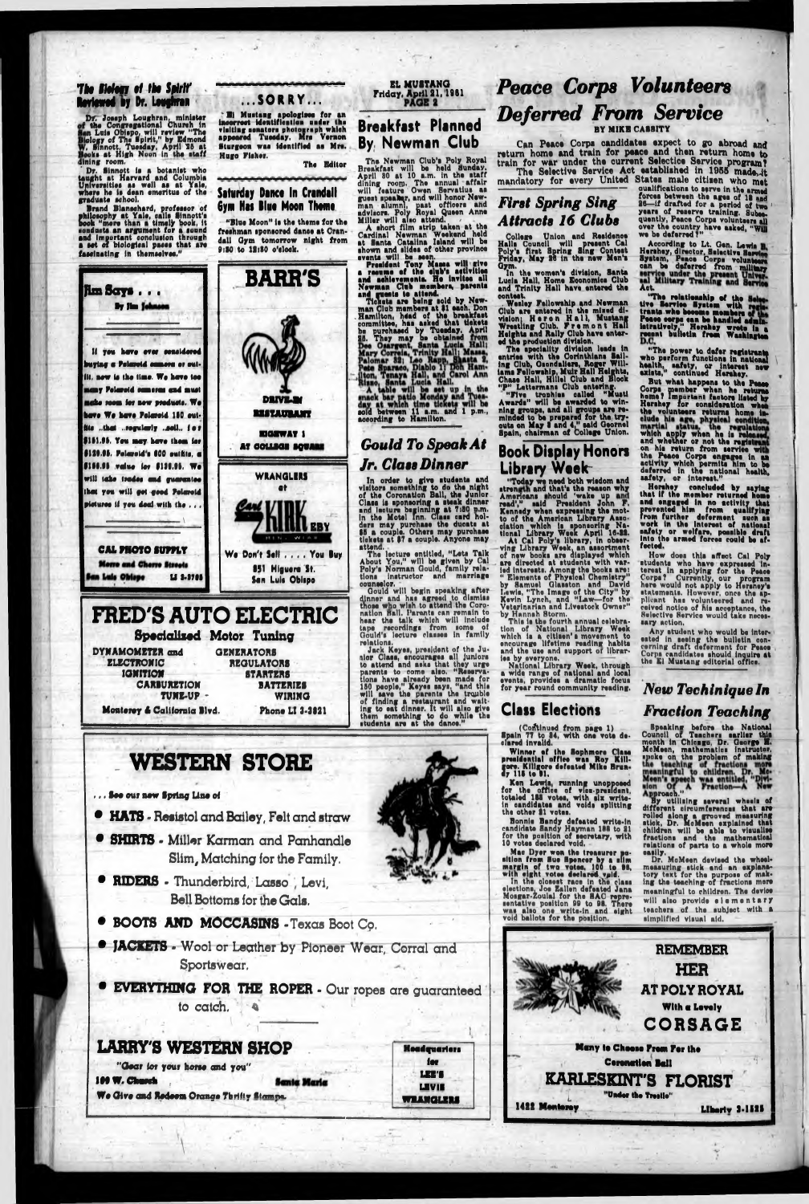#### **The Biology of the Spirit Reviewed by Dr. Loughran**

*Vf.* Joseph Loughren, minister ' the Congregational Church in in Lula Obispo, will rcviaw "Tha ology of The Hplrit," by Edmond . Sinnott. Tuesday, April 25 at >oka at High Noon In the etaff lining room.

Dr. Sinnott is a botanist who taught at Harvard and Columbia Unlveroltieo aa wall aa at Yala, where ha la dean amarltua of tha graduate achool,

#### **Saturday Dance In Crandall** 6**ym Nat Blue Noon Thomo**

"Blue Moon" la tha thema for the freshman aponsored dance at Crandall Oym tomorrow night from 9:30 to 12:30 o'clock.

Brand Blanechard, profeasor of philosophy at Yale, calls Sinnott's book "more than a timely book, it conducts an argument for a sound and important conclusion through a aet of biological pacaa that are faaalnating in thamaelvea."

By Jim Johnson

#### **...SORRY...**

\* Bl Muatang apologlaea for an Inaorroct Idantlflcailon under lhr vleltlng aanatora photograph which appeared Tuesday, Mrs Vernon Sturgeon waa Identified aa Mra. Hugo Plaher.

Tha Editor

The Newman Club's Poly Royal Hreakfaat will be held Sunday. April 80 at 10 a.m. In tha etaff dining roo®. Tha annual affair will feature Owen Servatius as guaat speaker, and will honor Newman alumni, past officers and advlaora. Poly Royal Queen Anne Millar will alao attend.

#### EL MUSTANG Priday, April 21,1981

**Jim Sot\* . • •**

a resume of the elub's activities and aahlavemanta. Ha invitee all Nawman Club members, parenta and guests to attend,

Tickets are being sold by Newman Club mamhera at fl each. Don .Hamilton, hdad of the braakfact committee, haa aaked that tickets be purohaead by Tuaaday. April 26. They may be obtained

> **Can Peace Corps candidates expect to go abroad and** return home and train for peace and then return home to **train for war under the current Selectice Service program?** The Selective Service Act established in 1955 made<sub>rit</sub>

mandatory for every United States male citizen who met

College Union<br>Lile Council will flrat S Halle Union and Residence praeent Cal Sing Conteat

in oa uererred from military Halls Council will present Cal According to Lt. Gen. Lewis R.<br>Poly's first Spring Sing Contest Hershey, director, Selective Service Friday, May 26 in the new Men's System, Peace Corps volunteers Gym. the women's division, Santa can be deferred from military Act.

> 'The relationship of the<br>'e Service Hystem with<br>'Aid who hecome momba Uve Bervice System v trante who become members Posee eorpe can be handled admin-<br>latratively," Herahey wrote in a regent bulletin from Washington

BARR'S

#### **Breakfast Planned By, Newman Club**

In order to give etudenta and vlaitore comethlng to do tha night of tha Coronation Ball, tha Junior Claaa la aponaoring a cteak dinner and lecture beginning at 7:80 p.m. In the Motel Inn. Class and holders may purchase the ducats at \$5 a couple. Others may purchase tickets at \$7 a couple. Anyone may attend.<br>The lecture entitled, "Leta Talk qualifications to serve in the armed forces between the ages of 18 and 26—if drafted for a period of two ' years of reserve training. Subse. quently, Peace Corps volunteers all over the country have asked, "Will we be deferred 7"

A abort film atrip taken at the Cardinal Nawman Weekend held at Santa Catalina Ialand will be shown and alldaa of other province

events will be seen.<br>President Tony Massa will give oonteat

### *Peace Corps Volunteers Deferred From Service* BY MIKB CAB8ITY

counselor.<br>— Gould will begin speaking<br>dinner and has agreed to di after dinner and has agreed to dismiss<br>those who wish to attend the Coroose who wish to attend the Coronation Hall. Parenta ran remain to hear tha talk which will Include tape recordings from some of Gould's lecture classes in family relations.

#### *First Spring Sing Attracts 16 Clubs*

rica "Today we need both wisdom and ind that's the reason<br>s \_should \_'wake \_up read'," eald Praaldant John F. atrength a:<br>Americans and that's the reason why Kcnnedy whan expreaalng the motto of the American Library Annooiation which is sponsoring Na-<br>tional Library Week April 16-22.<br>\_\_At\_Cal Poly's library, in obser-Weak, an assortment tlonal Library At Cal Poly ving Library Week, an assortment of new books are displayed which are directed at atudents with varied intereats. Among the books are: " Elements of Physical Chemletry" by Samuel Qlaeaton end David I.cwla, "The Image of the City" by Kevin Lynch, and "law—for the' Veterinarian and I.tveatock Owner" by Hannah Storm.

aold between 11 a.m. and 1 p.m., according to Hamilton.

### *Gould To Speak At Jr. Class Dinner*



"The power to defer registrants<br>ho perform functions in national alth, safety, or intareat new "The who *Mealth, safety, or interes* axiata,' continued Harahey.

But what happens to the Peace Corpa member when ha return home? Important factors listed by Harahey for consideration when the volunteers returns home inwhich apply when he is reless and whether or not the registral on his return from service with the Peace Corps engages in an activity which psrmtta him to be deferred in the national health, safety, or intareat."

About You," will be given by Cal Poly'a Norman dould, family relatione lnatructor and marriage

Hershey concluded by saying that if the member returned home and engaged in no activity that prevented him from quallfylag from further deferment buck aa work In the Intareat of national safety or welfare, possible draft Into the armed forces could be af-fected.

- **HATS**  Resistol and Bailey, Felt and straw
- **SHIRTS**  Miller Karman and Panhandle Slim, Matching for the Family.
- **RIDERS** Thunderbird, Lasso, Levi, Bell Bottoms for the Gals.
- **e BOOTS AND MOCCASINS** Texas Boot Co.
- • **JACKETS** \* Wool or Leather by Pioneer Wear, Corral and Sportswear.
- **EVERYTHING FOR THE ROPER**  Our ropes are guaranteed to catch.

Lucia Hall, Home Economica Club and Trinity Hall have entered the

.Wealey Fallowahtp and Nawman Club are entered In the mixed division) Heron Hall, Muatang Wreatilng Club. Fremont Hall Heights and Rally Club have entered the production dtvtalon.

The speciality division leads in entries with the Corinthians Sailing Club, Oiondaliara, Roger Willlama Fellowship, Muir Hall Heights, Chase Hall, Hillel Club and Block "P" Lettermans Club entering.

"Five tronhlei called "Muati Awards" will be awarded to winning groupa, and all groupa are reminded to be prepared for tha, tryouta on May 8 and 4/' said Oeornal Spain, chairman of Collage Union.

Mac Dyer won the treaaurcr portion from Hue Spencer by a cflm margin of two votoa, 100 to II, with eight votes declared vpld.

#### **Book Display Honors Library Week-**

In the closest race in the class elections, Joe Eallen defeated Jana Mosgar-Zoulal for the BAC representative position 99 to 98. There was also one write-in and eight void ballots for the poiltion.

Jack Kayaa, praaldant of the Junior Claaa, enoouragee all Junlore to attend and aeka that they urge parents to come also. "Reserva-<br>tions have already been made for ona have already been mads for 160 peoplo," Kayaa aayi. "and thla will save the parents the trouble of finding a restaurant and waiting to eat dinner. It will alio give them something to do whllo the itudente are at the dance."

This la the fourth annual celebration of National Library Week which la a cltlaen' a movement to encourage lifetime reading habits and the use and support or libraries by everyone.

National Library Week, through a wide range of national and local eventa, provides a dramatic focue for year round community reading.

How does th|e effort Cal Poly etudenta who have expreeeed Interest in applying for the Peace Corpa? Currently, our program here would not apply to Heraney's statements. However, once the applicant has volunteered and received notice of nie acceptance, the Selective Service would take neceeaery action,

Any student who would be Interested in seeing the bulletin concerning draft deferment for Peace Corps candidates should inquire at the El Mustang editorial off!ee.



, , , See our new Spring Line el

#### **Class Elections**

(Continued from page 1) Spain 77 to 84, with ona vote declared invalid.

Winner of the Sophmore Class preeldentlal office wae Roy Kill gore. Killgore defeated Mike Brundy 115 to D1.

. Ken Lewis,

#### *New Techiniqueln Fraction Teaching*

### LARRY'S WESTERN SHOP

 $\overline{\phantom{a}}$ 

"Gear for your horse and you" **IM W. Church Santa Maria** We Give and Redeem Orange Thrifty Stamps.



Ken Lewis, running unopposed<br>for the office of vice-president, with six writel voids splitting totaled 188 votes, In candidate\* and the other 21 votes.

Ronnie Bendy defeated write-in candidate Bandy Hayman 118 to 21 for the position of secretary, with 10 votaa declared void.

Bpoaklnx before the National Council of Teachers earlier this month In Chicago, Dr. George H. McMeen, mathematics instructor, Roy Kill- "P<sup>oke</sup> on the problem of making »roach." By utilising several wheels of different circumferences that are rolled along a grooved measuring ■tick, Dr. McMeen explained that children will be able to visualise fractions and the mathematical relations of parts to a whole more easily. Dr. McMeen devised the wheelmeasuring (tick and an explanatory text for the purpose of making the teaching of fractions more meaningful to children. The device will alao provide elementary teachers of tha subject with a simplified visual aid.

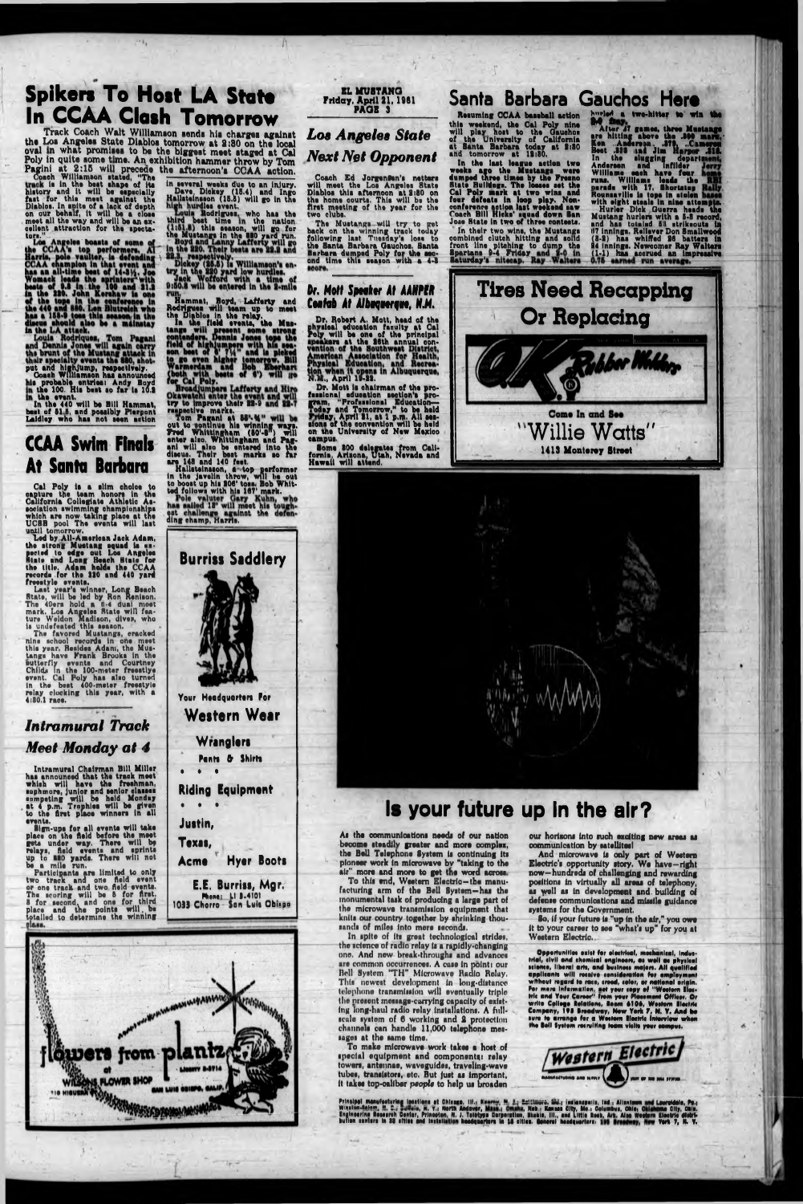### Spikers To Host LA State In CCAA Clash Tomorrow

Track Coach Walt Williamson sends his charges against<br>the Los Angeles State Diablos tomorrow at 2:30 on the local<br>oval in what promises to be the biggest meet staged at Cal<br>Poly in quite some time. An exhibition hammer thr

torn

collent attraction for the spectator."<br>
Los Angeles boasts of some of<br>
Los Angeles boasts of some of<br>
Los Angeles boasts of some of<br>
Harris, pole vaulter, is defending<br>
CCAA champion in that event and<br>
has an all-time best

### **CCAA Swim Finals** At Santa Barbara

Cal Poly is a slim choice to<br>capture the team honors in the<br>California Collegiate Athletic Association swimming championships<br>which are now taking place at the<br>UCSB pool The events will last until tomorrow.

that to the All-American Jack Adam,<br>the strong Mustang squad is an-<br>pecied to edge out Los Angeles<br>Sinte and Long Beach State for<br>the title. Adam holds the CCAA<br>records. for the 330 and 440 yard

Freedrich For the 220 and 440 years<br>
Last year's winner, Long Beach<br>
State, will be led by Ron Renison.<br>
The 40ers hold a 6-4 dual meet<br>
mark. Los Angeles State will feature Weldon Madison, dives, who<br>
is undefeated this s

nine school records in one meet<br>this year, Resides Adam, the Mustangs have Frank Brooks in the<br>butterfly events and Courtney<br>Childs in the 100-meter freestiye event. Cal Poly has also turned<br>in the best 400-meter freestyle<br>relay clocking this year, with a<br>4:30.1 race.

**Intramural Track** Meet Monday at 4

Intramural Chairman Bill Miller<br>has announced that the track meet<br>which will have the freehman,<br>sunhmore junior and senior classes suphmore, junior and senior classes<br>sumpeting will be held Monday<br>at 4 p.m. Traphies will be given<br>to the first place winners in all events. svents.<br>
Sign-ups for all events will take<br>
place on the field before the meet<br>
gets under way. There will be<br>
relays, field events and sprints<br>
up to 880 yards. There will not<br>
be a mile run.<br>
Particle run. be a mile run.<br>
Participants are limited to only<br>
two track and one field events.<br>
or one track and two field events.<br>
The accring will be 5 for first.<br>
I for second, and one for third<br>
place and the points will be<br>
totall

in several weeks due to an injury.<br>
Dave, Dickey (15.4) and Ingo<br>
Hallsteinsson (15.5) will go in the<br>
Hallsteinsson (15.5) will go in the<br>
Hauls Rodrigues, who has the<br>
Louis Rodrigues, who has the<br>
third best time in the

Jack Wofford with a time of<br>
19:03 will be entered in the 2-mile<br>
Hammat, Boyd, Lafferty and<br>
Redrigues with team up to meet<br>
the Diables in the relay,<br>
In the field events, the Master<br>
tend of highlympers with his sea-<br>
t

**Burriss Saddlery** 

Your Headquarters For

Wranglers

Pants & Shirts

**Western Wear** 

**EL MUSTANG** Friday, April 21, 1961

### Los Angeles State **Next Net Opponent**

Coach Ed Jorgensen's netters<br>will meet the Los Angeles State<br>Diablos this afternoon at 2:30 on<br>the home courts. This will be the<br>first meeting of the year for the<br>two clubs.

two clubs.<br>The Mustangs will try to get<br>back on the winning track today<br>following last Tuesday's loss to<br>the Santa Barbara Gauchos, Santa<br>Barbara dumped Poly for the second time this season with a 4-3 seore.

### Santa Barbara Gauchos Here

Resuming CCAA baseball action this weekend, the Cal Poly nine<br>will play host to the Gaushon<br>of the University of California<br>at Santa Barbara today at 2:30<br>and tomorrow at 12:30.

and tomorrow at 19:80.<br>In the last league action two<br>weeks ago the Mustangs were<br>dumped three times by the Freeno<br>distributions. The losses are the<br>Cal Poly mark at two wins and<br>four defeats in loop play. Non-<br>conference a

In their two wins, the Mustangs<br>combined clutch hitting and soild<br>front line pitching to dump the<br>Spartans 9-4 Friday and 8-0 in<br>Laturday's nitecap. Ray Walters

**Jauch a two-hitter to win the Mutange Area Music and After AT games, three Musicange are hitting above the .300 marr.**<br>
New AT games, three Musicange are hitting above the .300 marr., Ken. ...Anderson. .379, ..Cameren Bos

## Dr. Mott Speaker At AANPER

Dr. Robert A. Mott, head of the<br>physical education family at Cal<br>Poly will be one of the principal<br>reakers at the 26th annual con-<br>vention of the Southwest District,<br>American Association for Health,<br>Physical Education, and

N.E., April 1942.<br>
Dr. Mott is chairman of the pro-<br>
famm, "Profundation section's pro-<br>
famm, "Profundanal Education-<br>
Today and Tomorrow," to be held<br>
Iday, April 21, at 1 p.m. All ses-<br>
sions of the convention will be h **CAZADUS.** 

Some 300 delegates from California, Arizona, Utah, Nevada and<br>Hawaii will attend.

# Confab At Albuquerque, N.M.

**Tires Need Recapping Or Replacing** Come In and See "Willie Watts" 1413 Monterey Street









## Is your future up in the air?

As the communications needs of our nation become steadily greater and more complex,<br>the Bell Telephone System is continuing its ploneer work in microwave by "taking to the air" more and more to get the word across.<br>To this end, Western Electric-the manu-

facturing arm of the Bell System-has the monumental task of producing a large part of the microwave transmission equipment that knits our country together by shrinking thousands of miles into mere seconds.

In spite of its great technological strides, the science of radio relay is a rapidly-changing one. And new break-throughs and advances are common occurrences. A case in point: our Bell System "TH" Microwave Radio Relay. This newest development in long-distance telephone transmission will eventually triple the present message-carrying capacity of existing long-haul radio relay installations. A fullscale system of 6 working and 2 protection<br>channels can handle 11,000 telephone messages at the same time.

To make microwave work takes a host of special equipment and components: relay towers, antennae, waveguides, traveling-wave tubes, transistors, etc. But just as important, it takes top-caliber people to help us broaden

our horizons into such exciting new areas as communication by satellites!

And microwave is only part of Western<br>Electric's opportunity story. We have-right now-hundreds of challenging and rewarding positions in virtually all areas of telephony, as well as in development and building of defense communications and missile guidance systems for the Government.

So, if your future is "up in the air," you owe Western Electric.

Opportunities exist for electrical, mechanical, industrial, civil and chomical engineers, as well as physical<br>science, liberal arts, and business majors. All qualified<br>applicants will receive consideration for amployment applicants will rocalvo consideration for amplayment<br>without regard to race, croad, color, or national origin.<br>For mars information, get your copy of "Western Electric<br>Initial and Your Career" from your Placement Officer.<br>



Principal menufacturing Iscations at Chicago, 111., Maurey, M. J.; Enttimore, Inc., Incleaspella, Ind., Allantown<br>Winston-Selem, M. C.; Bulletin, R. V.; North Andever, Maur., Omaha, Neb.; Kennas City, Mo.: Columbus, Ohio;<br>